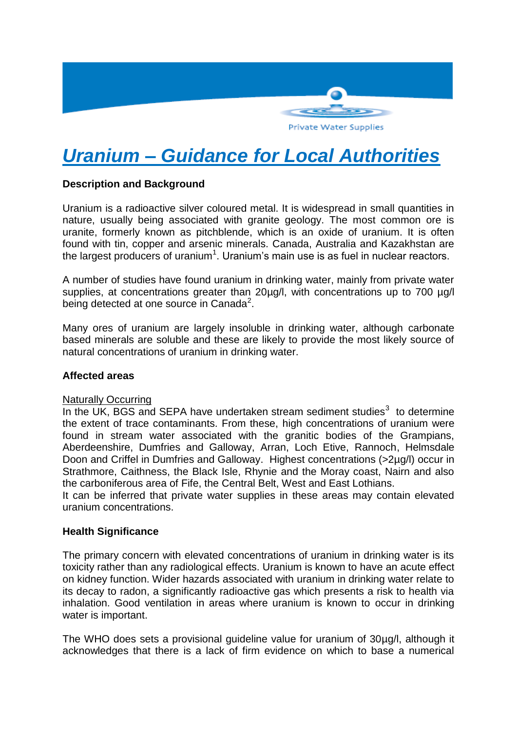

# *Uranium – Guidance for Local Authorities*

### **Description and Background**

Uranium is a radioactive silver coloured metal. It is widespread in small quantities in nature, usually being associated with granite geology. The most common ore is uranite, formerly known as pitchblende, which is an oxide of uranium. It is often found with tin, copper and arsenic minerals. Canada, Australia and Kazakhstan are the largest producers of uranium<sup>1</sup>. Uranium's main use is as fuel in nuclear reactors.

A number of studies have found uranium in drinking water, mainly from private water supplies, at concentrations greater than 20µg/l, with concentrations up to 700 µg/l being detected at one source in Canada<sup>2</sup>.

Many ores of uranium are largely insoluble in drinking water, although carbonate based minerals are soluble and these are likely to provide the most likely source of natural concentrations of uranium in drinking water.

#### **Affected areas**

#### Naturally Occurring

In the UK, BGS and SEPA have undertaken stream sediment studies $3$  to determine the extent of trace contaminants. From these, high concentrations of uranium were found in stream water associated with the granitic bodies of the Grampians, Aberdeenshire, Dumfries and Galloway, Arran, Loch Etive, Rannoch, Helmsdale Doon and Criffel in Dumfries and Galloway. Highest concentrations (>2µg/l) occur in Strathmore, Caithness, the Black Isle, Rhynie and the Moray coast, Nairn and also the carboniferous area of Fife, the Central Belt, West and East Lothians.

It can be inferred that private water supplies in these areas may contain elevated uranium concentrations.

#### **Health Significance**

The primary concern with elevated concentrations of uranium in drinking water is its toxicity rather than any radiological effects. Uranium is known to have an acute effect on kidney function. Wider hazards associated with uranium in drinking water relate to its decay to radon, a significantly radioactive gas which presents a risk to health via inhalation. Good ventilation in areas where uranium is known to occur in drinking water is important.

The WHO does sets a provisional guideline value for uranium of 30µg/l, although it acknowledges that there is a lack of firm evidence on which to base a numerical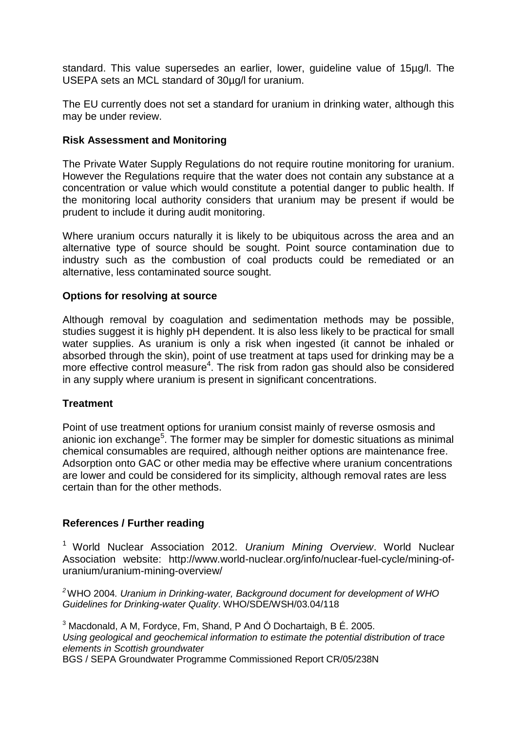standard. This value supersedes an earlier, lower, guideline value of 15µg/l. The USEPA sets an MCL standard of 30µg/l for uranium.

The EU currently does not set a standard for uranium in drinking water, although this may be under review.

#### **Risk Assessment and Monitoring**

The Private Water Supply Regulations do not require routine monitoring for uranium. However the Regulations require that the water does not contain any substance at a concentration or value which would constitute a potential danger to public health. If the monitoring local authority considers that uranium may be present if would be prudent to include it during audit monitoring.

Where uranium occurs naturally it is likely to be ubiquitous across the area and an alternative type of source should be sought. Point source contamination due to industry such as the combustion of coal products could be remediated or an alternative, less contaminated source sought.

#### **Options for resolving at source**

Although removal by coagulation and sedimentation methods may be possible, studies suggest it is highly pH dependent. It is also less likely to be practical for small water supplies. As uranium is only a risk when ingested (it cannot be inhaled or absorbed through the skin), point of use treatment at taps used for drinking may be a more effective control measure<sup>4</sup>. The risk from radon gas should also be considered in any supply where uranium is present in significant concentrations.

#### **Treatment**

Point of use treatment options for uranium consist mainly of reverse osmosis and anionic ion exchange<sup>5</sup>. The former may be simpler for domestic situations as minimal chemical consumables are required, although neither options are maintenance free. Adsorption onto GAC or other media may be effective where uranium concentrations are lower and could be considered for its simplicity, although removal rates are less certain than for the other methods.

#### **References / Further reading**

<sup>1</sup> World Nuclear Association 2012. *Uranium Mining Overview*. World Nuclear Association website: http://www.world-nuclear.org/info/nuclear-fuel-cycle/mining-ofuranium/uranium-mining-overview/

*<sup>2</sup>*WHO 2004*. Uranium in Drinking-water, Background document for development of WHO Guidelines for Drinking-water Quality*. WHO/SDE/WSH/03.04/118

<sup>3</sup> Macdonald, A M, Fordyce, Fm, Shand, P And Ó Dochartaigh, B É. 2005. *Using geological and geochemical information to estimate the potential distribution of trace elements in Scottish groundwater* BGS / SEPA Groundwater Programme Commissioned Report CR/05/238N